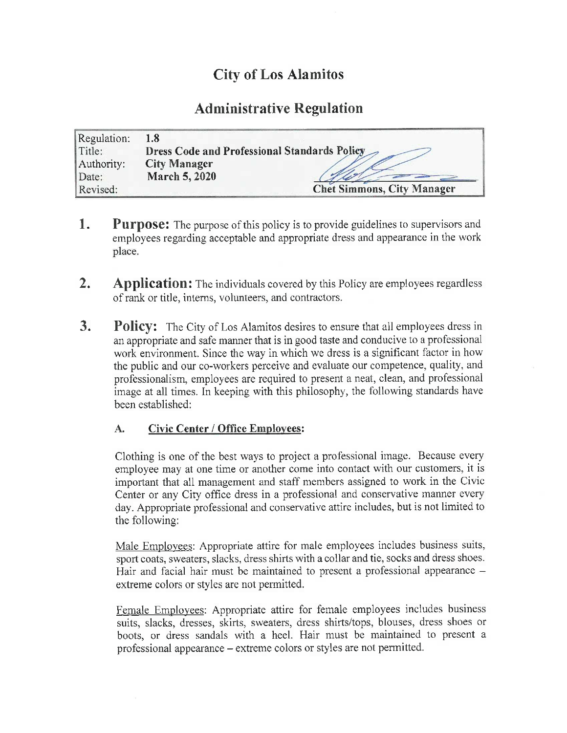# City of Los Alamitos

# Administrative Regulation

| Regulation: | 1.8                                          |  |
|-------------|----------------------------------------------|--|
| Title:      | Dress Code and Professional Standards Policy |  |
| Authority:  | <b>City Manager</b>                          |  |
| Date:       | March 5, 2020                                |  |
| Revised:    | <b>Chet Simmons, City Manager</b>            |  |

- **1.** Purpose: The purpose of this policy is to provide guidelines to supervisors and employees regarding acceptable and appropriate dress and appearance in the work place.
- 2. Application: The individuals covered by this Policy are employees regardless of rank or title, interns, volunteers, and contractors.
- **3.** Policy: The City of Los Alamitos desires to ensure that all employees dress in an appropriate and safe manner that is in good taste and conducive to a professional work environment. Since the way in which we dress is a significant factor in how the public and our co-workers perceive and evaluate our competence, quality, and professionalism, employees are required to present a neat, clean, and professional image at all times. In keeping with this philosophy, the following standards have been established:

### A. Civic Center/ Office Employees:

Clothing is one of the best ways to project <sup>a</sup> professional image. Because every employee may at one time or another come into contact with our customers, it is important that all management and staff members assigned to work in the Civic Center or any City office dress in a professional and conservative manner every day. Appropriate professional and conservative attire includes, but is not limited to the following:

Male Employees: Appropriate attire for male employees includes business suits, sport coats, sweaters, slacks, dress shirts with a collar and tie, socks and dress shoes. Hair and facial hair must be maintained to present a professional appearance extreme colors or styles are not permitted.

Female Employees: Appropriate attire for female employees includes business suits, slacks, dresses, skirts, sweaters, dress shirts/tops, blouses, dress shoes or boots, or dress sandals with a heel. Hair must be maintained to present a professional appearance— extreme colors or styles are not permitted.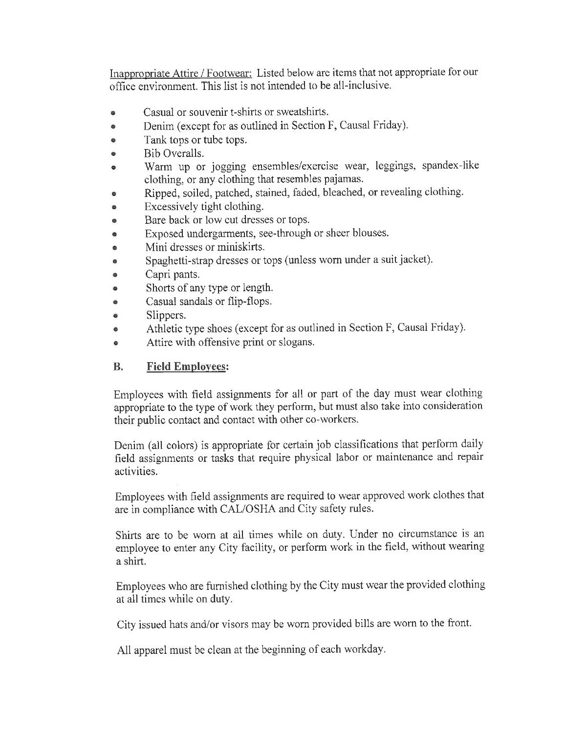Inappropriate Attire/ Footwear: Listed below are items that not appropriate for our office environment. This list is not intended to be all-inclusive.

- Casual or souvenir t-shirts or sweatshirts.
- Denim( except for as outlined in Section F, Causal Friday).  $\bullet$
- Tank tops or tube tops.  $\bullet$
- Bib Overalls.  $\bullet$
- Warm up or jogging ensembles/ exercise wear, leggings, spandex-like ė. clothing, or any clothing that resembles pajamas.
- Ripped, soiled, patched, stained, faded, bleached, or revealing clothing.  $\bullet$
- Excessively tight clothing.  $\bullet$
- Bare back or low cut dresses or tops.  $\bullet$
- Exposed undergarments, see- through or sheer blouses.  $\bullet$
- Mini dresses or miniskirts.  $\bullet$
- Spaghetti-strap dresses or tops (unless worn under a suit jacket).  $\bullet$
- Capri pants.  $\bullet$
- Shorts of any type or length.  $\bullet$
- Casual sandals or flip-flops.  $\bullet$
- $\bullet$ Slippers.
- Athletic type shoes (except for as outlined in Section F, Causal Friday).  $\bullet$
- Attire with offensive print or slogans.  $\bullet$

# B. Field Employees:

Employees with field assignments for all or part of the day must wear clothing appropriate to the type of work they perform, but must also take into consideration their public contact and contact with other co- workers.

Denim (all colors) is appropriate for certain job classifications that perform daily field assignments or tasks that require physical labor or maintenance and repair activities.

Employees with field assignments are required to wear approved work clothes that are in compliance with CAL/OSHA and City safety rules.

Shirts are to be worn at all times while on duty. Under no circumstance is an employee to enter any City facility, or perform work in the field, without wearing a shirt.

Employees who are furnished clothing by the City must wear the provided clothing at all times while on duty.

City issued hats and/or visors may be worn provided bills are worn to the front.

All apparel must be clean at the beginning of each workday.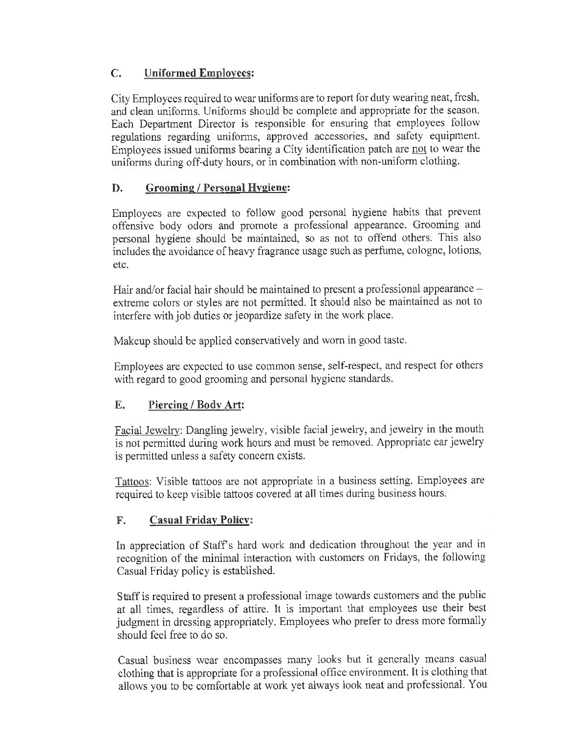# C. Uniformed Employees:

City Employees required to wear uniforms are to report for duty wearing neat, fresh, and clean uniforms. Uniforms should be complete and appropriate for the season. Each Department Director is responsible for ensuring that employees follow regulations regarding uniforms, approved accessories, and safety equipment. Employees issued uniforms bearing a City identification patch are not to wear the uniforms during off-duty hours, or in combination with non-uniform clothing.

## D. Grooming / Personal Hygiene:

Employees are expected to follow good personal hygiene habits that prevent offensive body odors and promote a professional appearance. Grooming and personal hygiene should be maintained, so as not to offend others. This also includes the avoidance of heavy fragrance usage such as perfume, cologne, lotions, etc.

Hair and/or facial hair should be maintained to present a professional appearance extreme colors or styles are not permitted. It should also be maintained as not to interfere with job duties or jeopardize safety in the work place.

Makeup should be applied conservatively and worn in good taste.

Employees are expected to use common sense, self-respect, and respect for others with regard to good grooming and personal hygiene standards.

### E. Piercing/ Body Art:

Facial Jewelry: Dangling jewelry, visible facial jewelry, and jewelry in the mouth is not permitted during work hours and must be removed. Appropriate ear jewelry is permitted unless a safety concern exists.

Tattoos: Visible tattoos are not appropriate in a business setting. Employees are required to keep visible tattoos covered at all times during business hours.

### F. Casual Friday Policy:

In appreciation of Staff's hard work and dedication throughout the year and in recognition of the minimal interaction with customers on Fridays, the following Casual Friday policy is established.

Staff is required to present a professional image towards customers and the public at all times, regardless of attire. It is important that employees use their best judgment in dressing appropriately. Employees who prefer to dress more formally should feel free to do so.

Casual business wear encompasses many looks but it generally means casual clothing that is appropriate for a professional office environment. It is clothing that allows you to be comfortable at work yet always look neat and professional. You